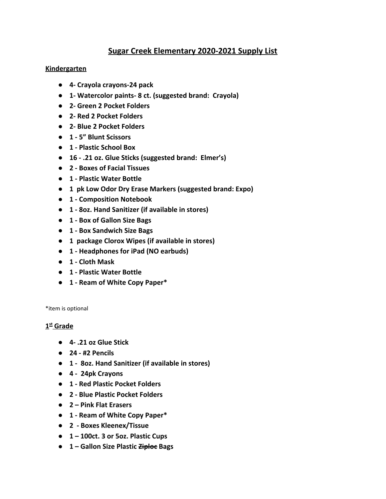## **Sugar Creek Elementary 2020-2021 Supply List**

### **Kindergarten**

- **● 4- Crayola crayons-24 pack**
- **● 1- Watercolor paints- 8 ct. (suggested brand: Crayola)**
- **● 2- Green 2 Pocket Folders**
- **● 2- Red 2 Pocket Folders**
- **● 2- Blue 2 Pocket Folders**
- **● 1 5" Blunt Scissors**
- **● 1 Plastic School Box**
- **● 16 .21 oz. Glue Sticks (suggested brand: Elmer's)**
- **● 2 Boxes of Facial Tissues**
- **● 1 Plastic Water Bottle**
- **● 1 pk Low Odor Dry Erase Markers (suggested brand: Expo)**
- **● 1 Composition Notebook**
- **● 1 8oz. Hand Sanitizer (if available in stores)**
- **● 1 Box of Gallon Size Bags**
- **● 1 Box Sandwich Size Bags**
- **● 1 package Clorox Wipes (if available in stores)**
- **● 1 Headphones for iPad (NO earbuds)**
- **● 1 Cloth Mask**
- **● 1 Plastic Water Bottle**
- **● 1 Ream of White Copy Paper\***

\*item is optional

### **1 st Grade**

- **● 4- .21 oz Glue Stick**
- **● 24 #2 Pencils**
- **● 1 8oz. Hand Sanitizer (if available in stores)**
- **● 4 24pk Crayons**
- **● 1 Red Plastic Pocket Folders**
- **● 2 Blue Plastic Pocket Folders**
- **● 2 Pink Flat Erasers**
- **● 1 Ream of White Copy Paper\***
- **● 2 Boxes Kleenex/Tissue**
- **● 1 100ct. 3 or 5oz. Plastic Cups**
- **● 1 Gallon Size Plastic Ziploc Bags**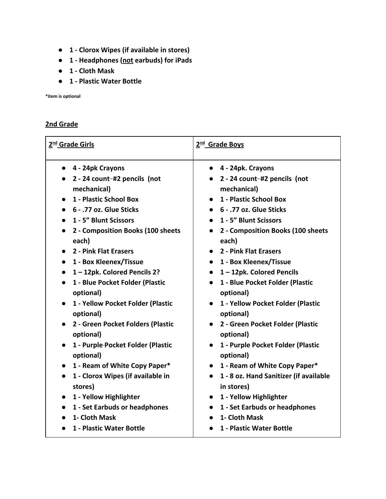- **● 1 Clorox Wipes (if available in stores)**
- **● 1 Headphones (not earbuds) for iPads**
- **● 1 Cloth Mask**
- **● 1 Plastic Water Bottle**

**\*item is optional**

### **2nd Grade**

| 2 <sup>nd</sup> Grade Girls                                                                                                                                                                                                                                                                                                                                                                                                                                                                                                                   | 2 <sup>nd</sup> Grade Boys                                                                                                                                                                                                                                                                                                                                                                                                                                                                                                                  |
|-----------------------------------------------------------------------------------------------------------------------------------------------------------------------------------------------------------------------------------------------------------------------------------------------------------------------------------------------------------------------------------------------------------------------------------------------------------------------------------------------------------------------------------------------|---------------------------------------------------------------------------------------------------------------------------------------------------------------------------------------------------------------------------------------------------------------------------------------------------------------------------------------------------------------------------------------------------------------------------------------------------------------------------------------------------------------------------------------------|
| 4 - 24pk Crayons<br>2 - 24 count-#2 pencils (not<br>$\bullet$<br>mechanical)<br>1 - Plastic School Box<br>6 - .77 oz. Glue Sticks<br>1 - 5" Blunt Scissors<br>2 - Composition Books (100 sheets<br>each)<br>2 - Pink Flat Erasers<br>1 - Box Kleenex/Tissue<br>1-12pk. Colored Pencils 2?<br>1 - Blue Pocket Folder (Plastic<br>optional)<br>1 - Yellow Pocket Folder (Plastic<br>$\bullet$<br>optional)<br>2 - Green Pocket Folders (Plastic<br>optional)<br>1 - Purple-Pocket Folder (Plastic<br>optional)<br>1 - Ream of White Copy Paper* | $\bullet$ 4 - 24pk. Crayons<br>2 - 24 count-#2 pencils (not<br>mechanical)<br>1 - Plastic School Box<br>6 - .77 oz. Glue Sticks<br>1 - 5" Blunt Scissors<br>2 - Composition Books (100 sheets<br>each)<br>2 - Pink Flat Erasers<br>• 1 - Box Kleenex/Tissue<br>1-12pk. Colored Pencils<br>1 - Blue Pocket Folder (Plastic<br>optional)<br>1 - Yellow Pocket Folder (Plastic<br>optional)<br>2 - Green Pocket Folder (Plastic<br>optional)<br>1 - Purple Pocket Folder (Plastic<br>$\bullet$<br>optional)<br>• 1 - Ream of White Copy Paper* |
| 1 - Clorox Wipes (if available in<br>$\bullet$<br>stores)<br>1 - Yellow Highlighter<br>1 - Set Earbuds or headphones<br>1- Cloth Mask<br>1 - Plastic Water Bottle                                                                                                                                                                                                                                                                                                                                                                             | 1 - 8 oz. Hand Sanitizer (if available<br>in stores)<br>1 - Yellow Highlighter<br>1 - Set Earbuds or headphones<br>1- Cloth Mask<br>1 - Plastic Water Bottle                                                                                                                                                                                                                                                                                                                                                                                |
|                                                                                                                                                                                                                                                                                                                                                                                                                                                                                                                                               |                                                                                                                                                                                                                                                                                                                                                                                                                                                                                                                                             |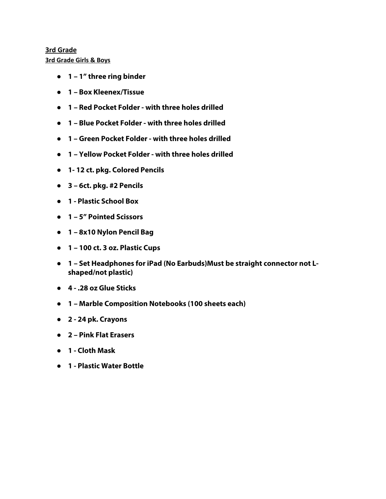# **3rd Grade**

**3rd Grade Girls & Boys**

- **1 1" three ring binder**
- **1 Box Kleenex/Tissue**
- **1 Red Pocket Folder with three holes drilled**
- **1 Blue Pocket Folder with three holes drilled**
- **1 Green Pocket Folder with three holes drilled**
- **1 Yellow Pocket Folder with three holes drilled**
- **1- 12 ct. pkg. Colored Pencils**
- **3 6ct. pkg. #2 Pencils**
- **1 Plastic School Box**
- **1 5" Pointed Scissors**
- **1 8x10 Nylon Pencil Bag**
- **1 100 ct. 3 oz. Plastic Cups**
- **1 Set Headphones for iPad (No Earbuds)Must be straight connector not Lshaped/not plastic)**
- **4 .28 oz Glue Sticks**
- **1 Marble Composition Notebooks (100 sheets each)**
- **2 24 pk. Crayons**
- **2 Pink Flat Erasers**
- **1 Cloth Mask**
- **1 Plastic Water Bottle**